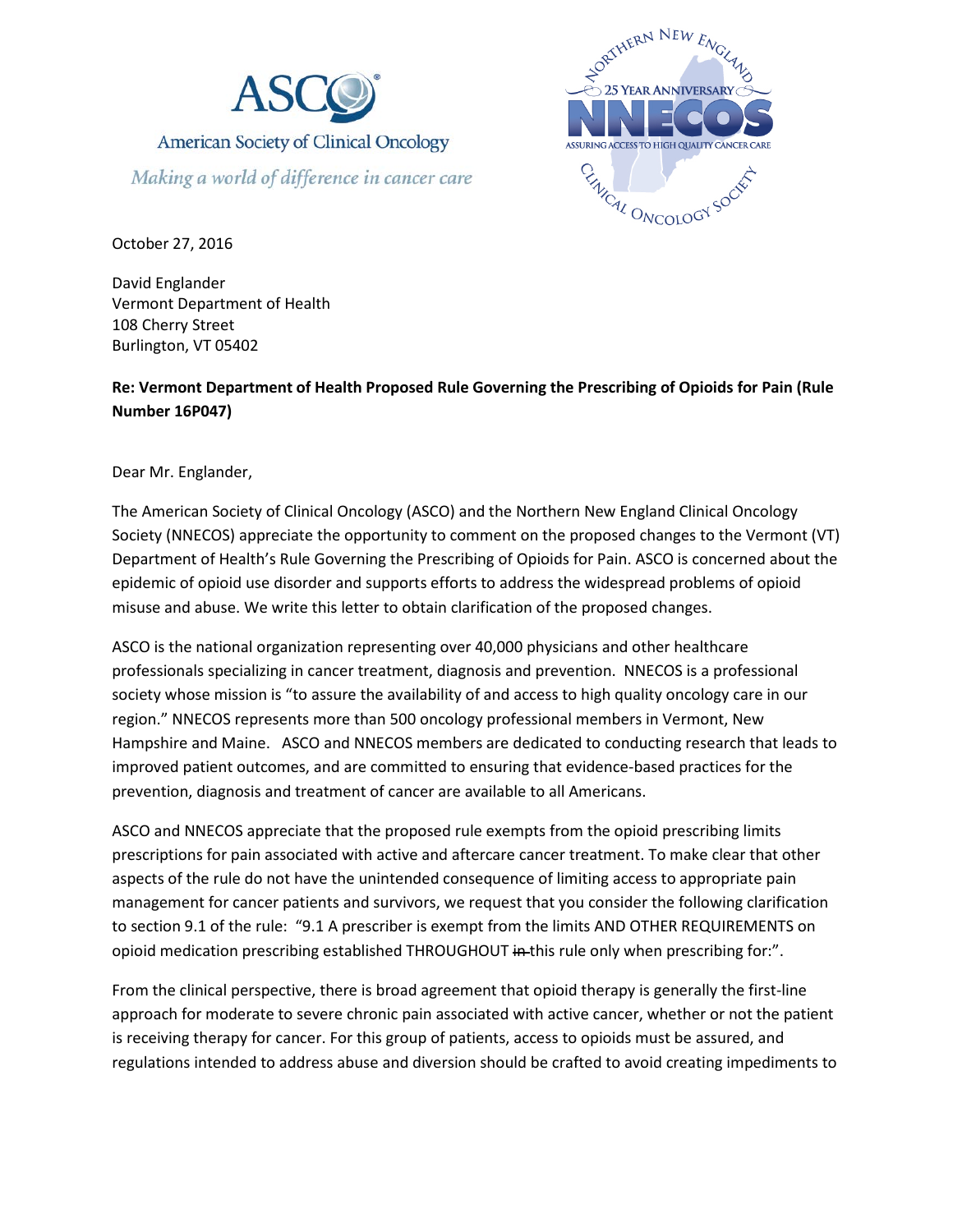



October 27, 2016

David Englander Vermont Department of Health 108 Cherry Street Burlington, VT 05402

**Re: Vermont Department of Health Proposed Rule Governing the Prescribing of Opioids for Pain (Rule Number 16P047)**

Dear Mr. Englander,

The American Society of Clinical Oncology (ASCO) and the Northern New England Clinical Oncology Society (NNECOS) appreciate the opportunity to comment on the proposed changes to the Vermont (VT) Department of Health's Rule Governing the Prescribing of Opioids for Pain. ASCO is concerned about the epidemic of opioid use disorder and supports efforts to address the widespread problems of opioid misuse and abuse. We write this letter to obtain clarification of the proposed changes.

ASCO is the national organization representing over 40,000 physicians and other healthcare professionals specializing in cancer treatment, diagnosis and prevention. NNECOS is a professional society whose mission is "to assure the availability of and access to high quality oncology care in our region." NNECOS represents more than 500 oncology professional members in Vermont, New Hampshire and Maine. ASCO and NNECOS members are dedicated to conducting research that leads to improved patient outcomes, and are committed to ensuring that evidence-based practices for the prevention, diagnosis and treatment of cancer are available to all Americans.

ASCO and NNECOS appreciate that the proposed rule exempts from the opioid prescribing limits prescriptions for pain associated with active and aftercare cancer treatment. To make clear that other aspects of the rule do not have the unintended consequence of limiting access to appropriate pain management for cancer patients and survivors, we request that you consider the following clarification to section 9.1 of the rule: "9.1 A prescriber is exempt from the limits AND OTHER REQUIREMENTS on opioid medication prescribing established THROUGHOUT in this rule only when prescribing for:".

From the clinical perspective, there is broad agreement that opioid therapy is generally the first-line approach for moderate to severe chronic pain associated with active cancer, whether or not the patient is receiving therapy for cancer. For this group of patients, access to opioids must be assured, and regulations intended to address abuse and diversion should be crafted to avoid creating impediments to